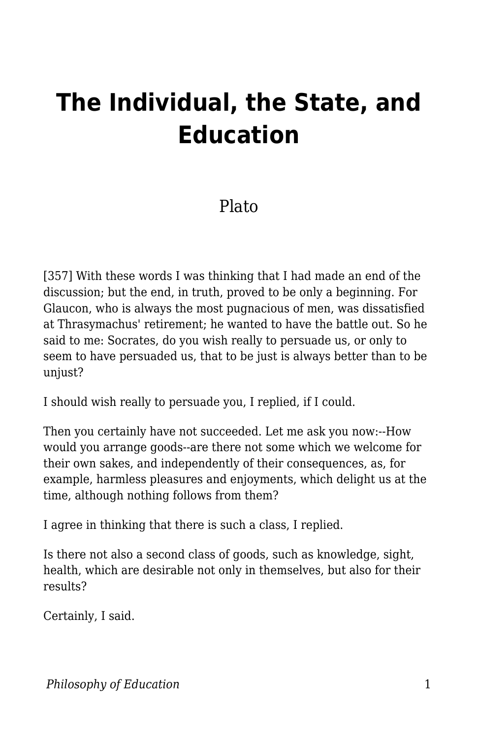## **The Individual, the State, and Education**

## Plato

[357] With these words I was thinking that I had made an end of the discussion; but the end, in truth, proved to be only a beginning. For Glaucon, who is always the most pugnacious of men, was dissatisfied at Thrasymachus' retirement; he wanted to have the battle out. So he said to me: Socrates, do you wish really to persuade us, or only to seem to have persuaded us, that to be just is always better than to be unjust?

I should wish really to persuade you, I replied, if I could.

Then you certainly have not succeeded. Let me ask you now:--How would you arrange goods--are there not some which we welcome for their own sakes, and independently of their consequences, as, for example, harmless pleasures and enjoyments, which delight us at the time, although nothing follows from them?

I agree in thinking that there is such a class, I replied.

Is there not also a second class of goods, such as knowledge, sight, health, which are desirable not only in themselves, but also for their results?

Certainly, I said.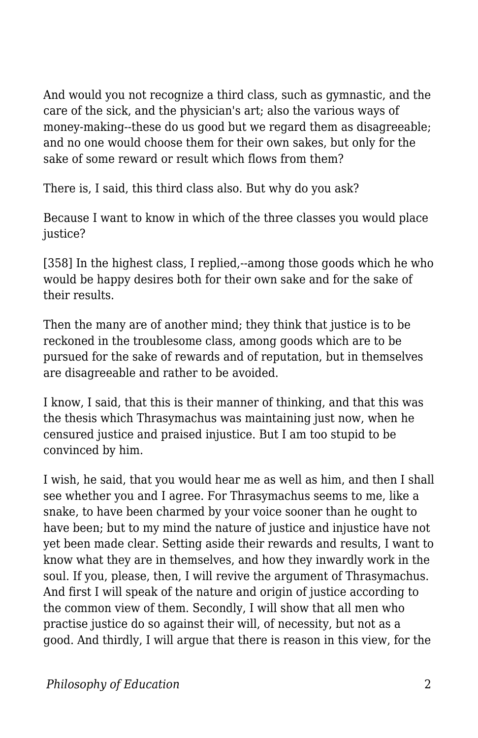And would you not recognize a third class, such as gymnastic, and the care of the sick, and the physician's art; also the various ways of money-making--these do us good but we regard them as disagreeable; and no one would choose them for their own sakes, but only for the sake of some reward or result which flows from them?

There is, I said, this third class also. But why do you ask?

Because I want to know in which of the three classes you would place justice?

[358] In the highest class, I replied,--among those goods which he who would be happy desires both for their own sake and for the sake of their results.

Then the many are of another mind; they think that justice is to be reckoned in the troublesome class, among goods which are to be pursued for the sake of rewards and of reputation, but in themselves are disagreeable and rather to be avoided.

I know, I said, that this is their manner of thinking, and that this was the thesis which Thrasymachus was maintaining just now, when he censured justice and praised injustice. But I am too stupid to be convinced by him.

I wish, he said, that you would hear me as well as him, and then I shall see whether you and I agree. For Thrasymachus seems to me, like a snake, to have been charmed by your voice sooner than he ought to have been; but to my mind the nature of justice and injustice have not yet been made clear. Setting aside their rewards and results, I want to know what they are in themselves, and how they inwardly work in the soul. If you, please, then, I will revive the argument of Thrasymachus. And first I will speak of the nature and origin of justice according to the common view of them. Secondly, I will show that all men who practise justice do so against their will, of necessity, but not as a good. And thirdly, I will argue that there is reason in this view, for the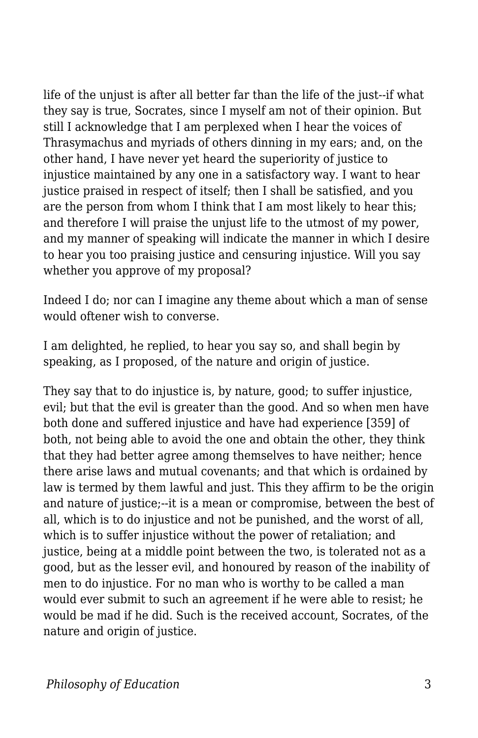life of the unjust is after all better far than the life of the just--if what they say is true, Socrates, since I myself am not of their opinion. But still I acknowledge that I am perplexed when I hear the voices of Thrasymachus and myriads of others dinning in my ears; and, on the other hand, I have never yet heard the superiority of justice to injustice maintained by any one in a satisfactory way. I want to hear justice praised in respect of itself; then I shall be satisfied, and you are the person from whom I think that I am most likely to hear this; and therefore I will praise the unjust life to the utmost of my power, and my manner of speaking will indicate the manner in which I desire to hear you too praising justice and censuring injustice. Will you say whether you approve of my proposal?

Indeed I do; nor can I imagine any theme about which a man of sense would oftener wish to converse.

I am delighted, he replied, to hear you say so, and shall begin by speaking, as I proposed, of the nature and origin of justice.

They say that to do injustice is, by nature, good; to suffer injustice, evil; but that the evil is greater than the good. And so when men have both done and suffered injustice and have had experience [359] of both, not being able to avoid the one and obtain the other, they think that they had better agree among themselves to have neither; hence there arise laws and mutual covenants; and that which is ordained by law is termed by them lawful and just. This they affirm to be the origin and nature of justice;--it is a mean or compromise, between the best of all, which is to do injustice and not be punished, and the worst of all, which is to suffer injustice without the power of retaliation; and justice, being at a middle point between the two, is tolerated not as a good, but as the lesser evil, and honoured by reason of the inability of men to do injustice. For no man who is worthy to be called a man would ever submit to such an agreement if he were able to resist; he would be mad if he did. Such is the received account, Socrates, of the nature and origin of justice.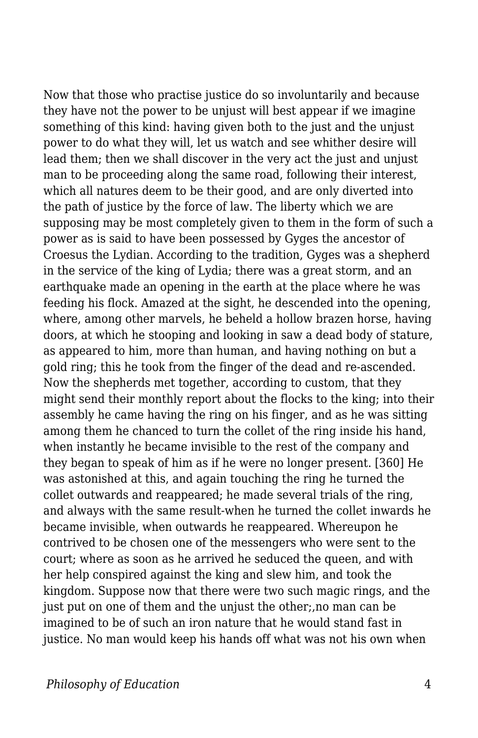Now that those who practise justice do so involuntarily and because they have not the power to be unjust will best appear if we imagine something of this kind: having given both to the just and the unjust power to do what they will, let us watch and see whither desire will lead them; then we shall discover in the very act the just and unjust man to be proceeding along the same road, following their interest, which all natures deem to be their good, and are only diverted into the path of justice by the force of law. The liberty which we are supposing may be most completely given to them in the form of such a power as is said to have been possessed by Gyges the ancestor of Croesus the Lydian. According to the tradition, Gyges was a shepherd in the service of the king of Lydia; there was a great storm, and an earthquake made an opening in the earth at the place where he was feeding his flock. Amazed at the sight, he descended into the opening, where, among other marvels, he beheld a hollow brazen horse, having doors, at which he stooping and looking in saw a dead body of stature, as appeared to him, more than human, and having nothing on but a gold ring; this he took from the finger of the dead and re-ascended. Now the shepherds met together, according to custom, that they might send their monthly report about the flocks to the king; into their assembly he came having the ring on his finger, and as he was sitting among them he chanced to turn the collet of the ring inside his hand, when instantly he became invisible to the rest of the company and they began to speak of him as if he were no longer present. [360] He was astonished at this, and again touching the ring he turned the collet outwards and reappeared; he made several trials of the ring, and always with the same result-when he turned the collet inwards he became invisible, when outwards he reappeared. Whereupon he contrived to be chosen one of the messengers who were sent to the court; where as soon as he arrived he seduced the queen, and with her help conspired against the king and slew him, and took the kingdom. Suppose now that there were two such magic rings, and the just put on one of them and the unjust the other;,no man can be imagined to be of such an iron nature that he would stand fast in justice. No man would keep his hands off what was not his own when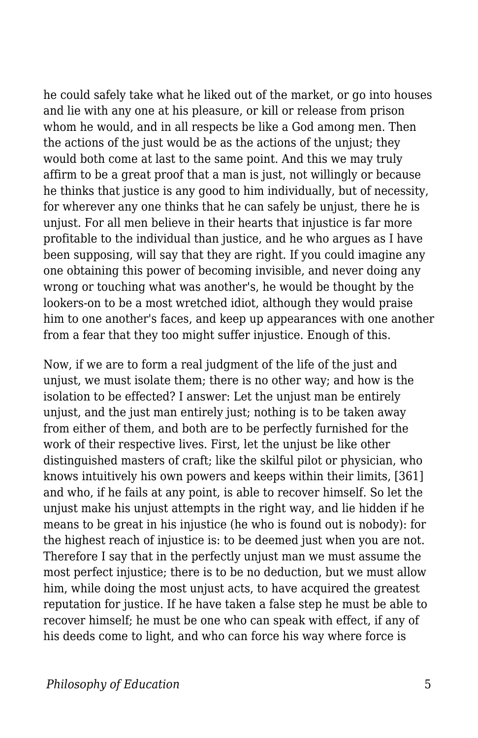he could safely take what he liked out of the market, or go into houses and lie with any one at his pleasure, or kill or release from prison whom he would, and in all respects be like a God among men. Then the actions of the just would be as the actions of the unjust; they would both come at last to the same point. And this we may truly affirm to be a great proof that a man is just, not willingly or because he thinks that justice is any good to him individually, but of necessity, for wherever any one thinks that he can safely be unjust, there he is unjust. For all men believe in their hearts that injustice is far more profitable to the individual than justice, and he who argues as I have been supposing, will say that they are right. If you could imagine any one obtaining this power of becoming invisible, and never doing any wrong or touching what was another's, he would be thought by the lookers-on to be a most wretched idiot, although they would praise him to one another's faces, and keep up appearances with one another from a fear that they too might suffer injustice. Enough of this.

Now, if we are to form a real judgment of the life of the just and unjust, we must isolate them; there is no other way; and how is the isolation to be effected? I answer: Let the unjust man be entirely unjust, and the just man entirely just; nothing is to be taken away from either of them, and both are to be perfectly furnished for the work of their respective lives. First, let the unjust be like other distinguished masters of craft; like the skilful pilot or physician, who knows intuitively his own powers and keeps within their limits, [361] and who, if he fails at any point, is able to recover himself. So let the unjust make his unjust attempts in the right way, and lie hidden if he means to be great in his injustice (he who is found out is nobody): for the highest reach of injustice is: to be deemed just when you are not. Therefore I say that in the perfectly unjust man we must assume the most perfect injustice; there is to be no deduction, but we must allow him, while doing the most unjust acts, to have acquired the greatest reputation for justice. If he have taken a false step he must be able to recover himself; he must be one who can speak with effect, if any of his deeds come to light, and who can force his way where force is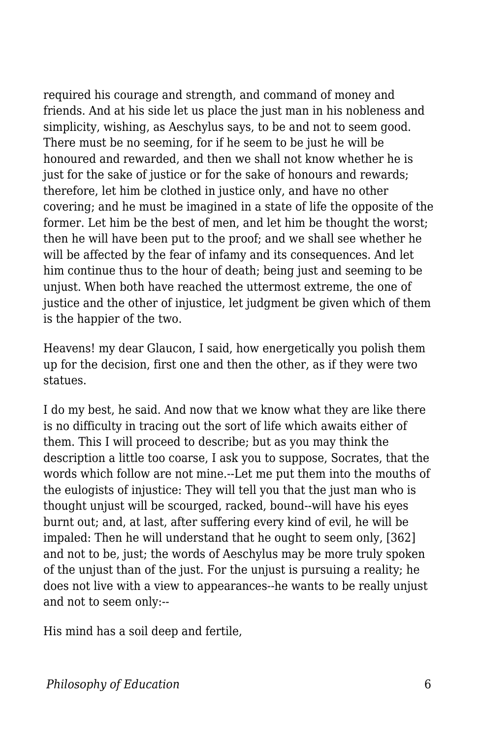required his courage and strength, and command of money and friends. And at his side let us place the just man in his nobleness and simplicity, wishing, as Aeschylus says, to be and not to seem good. There must be no seeming, for if he seem to be just he will be honoured and rewarded, and then we shall not know whether he is just for the sake of justice or for the sake of honours and rewards; therefore, let him be clothed in justice only, and have no other covering; and he must be imagined in a state of life the opposite of the former. Let him be the best of men, and let him be thought the worst; then he will have been put to the proof; and we shall see whether he will be affected by the fear of infamy and its consequences. And let him continue thus to the hour of death; being just and seeming to be unjust. When both have reached the uttermost extreme, the one of justice and the other of injustice, let judgment be given which of them is the happier of the two.

Heavens! my dear Glaucon, I said, how energetically you polish them up for the decision, first one and then the other, as if they were two statues.

I do my best, he said. And now that we know what they are like there is no difficulty in tracing out the sort of life which awaits either of them. This I will proceed to describe; but as you may think the description a little too coarse, I ask you to suppose, Socrates, that the words which follow are not mine.--Let me put them into the mouths of the eulogists of injustice: They will tell you that the just man who is thought unjust will be scourged, racked, bound--will have his eyes burnt out; and, at last, after suffering every kind of evil, he will be impaled: Then he will understand that he ought to seem only, [362] and not to be, just; the words of Aeschylus may be more truly spoken of the unjust than of the just. For the unjust is pursuing a reality; he does not live with a view to appearances--he wants to be really unjust and not to seem only:--

His mind has a soil deep and fertile,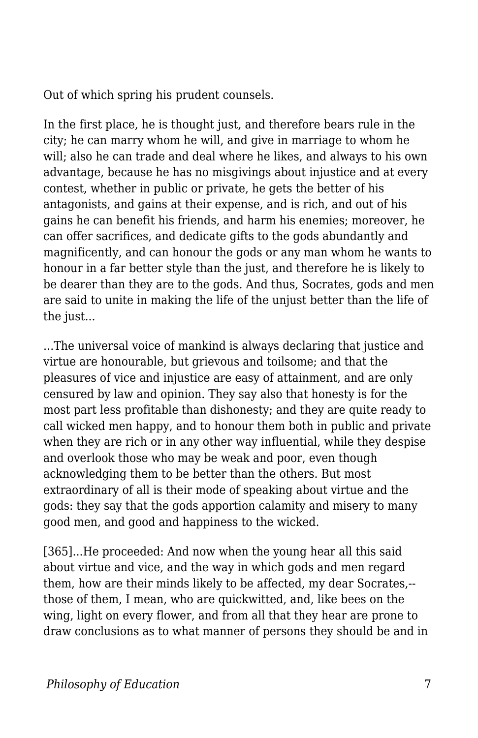Out of which spring his prudent counsels.

In the first place, he is thought just, and therefore bears rule in the city; he can marry whom he will, and give in marriage to whom he will; also he can trade and deal where he likes, and always to his own advantage, because he has no misgivings about injustice and at every contest, whether in public or private, he gets the better of his antagonists, and gains at their expense, and is rich, and out of his gains he can benefit his friends, and harm his enemies; moreover, he can offer sacrifices, and dedicate gifts to the gods abundantly and magnificently, and can honour the gods or any man whom he wants to honour in a far better style than the just, and therefore he is likely to be dearer than they are to the gods. And thus, Socrates, gods and men are said to unite in making the life of the unjust better than the life of the just...

...The universal voice of mankind is always declaring that justice and virtue are honourable, but grievous and toilsome; and that the pleasures of vice and injustice are easy of attainment, and are only censured by law and opinion. They say also that honesty is for the most part less profitable than dishonesty; and they are quite ready to call wicked men happy, and to honour them both in public and private when they are rich or in any other way influential, while they despise and overlook those who may be weak and poor, even though acknowledging them to be better than the others. But most extraordinary of all is their mode of speaking about virtue and the gods: they say that the gods apportion calamity and misery to many good men, and good and happiness to the wicked.

[365]...He proceeded: And now when the young hear all this said about virtue and vice, and the way in which gods and men regard them, how are their minds likely to be affected, my dear Socrates,- those of them, I mean, who are quickwitted, and, like bees on the wing, light on every flower, and from all that they hear are prone to draw conclusions as to what manner of persons they should be and in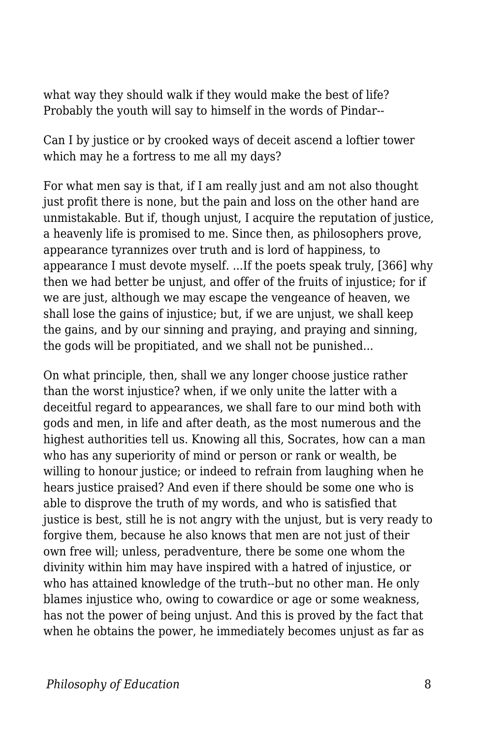what way they should walk if they would make the best of life? Probably the youth will say to himself in the words of Pindar--

Can I by justice or by crooked ways of deceit ascend a loftier tower which may he a fortress to me all my days?

For what men say is that, if I am really just and am not also thought just profit there is none, but the pain and loss on the other hand are unmistakable. But if, though unjust, I acquire the reputation of justice, a heavenly life is promised to me. Since then, as philosophers prove, appearance tyrannizes over truth and is lord of happiness, to appearance I must devote myself. ...If the poets speak truly, [366] why then we had better be unjust, and offer of the fruits of injustice; for if we are just, although we may escape the vengeance of heaven, we shall lose the gains of injustice; but, if we are unjust, we shall keep the gains, and by our sinning and praying, and praying and sinning, the gods will be propitiated, and we shall not be punished...

On what principle, then, shall we any longer choose justice rather than the worst injustice? when, if we only unite the latter with a deceitful regard to appearances, we shall fare to our mind both with gods and men, in life and after death, as the most numerous and the highest authorities tell us. Knowing all this, Socrates, how can a man who has any superiority of mind or person or rank or wealth, be willing to honour justice; or indeed to refrain from laughing when he hears justice praised? And even if there should be some one who is able to disprove the truth of my words, and who is satisfied that justice is best, still he is not angry with the unjust, but is very ready to forgive them, because he also knows that men are not just of their own free will; unless, peradventure, there be some one whom the divinity within him may have inspired with a hatred of injustice, or who has attained knowledge of the truth--but no other man. He only blames injustice who, owing to cowardice or age or some weakness, has not the power of being unjust. And this is proved by the fact that when he obtains the power, he immediately becomes unjust as far as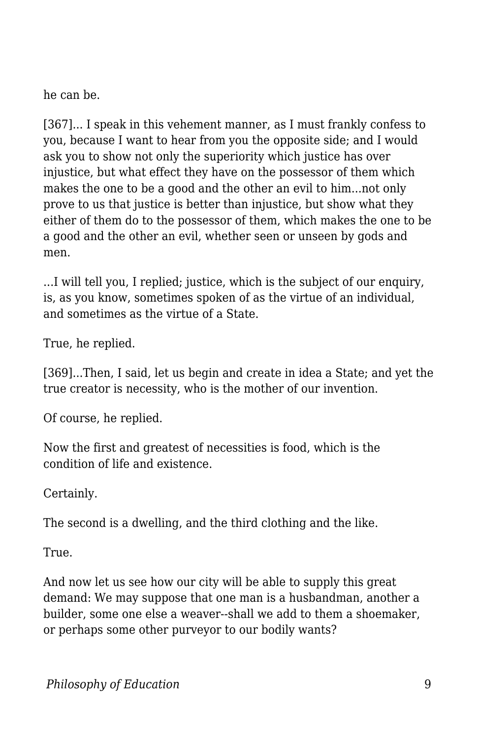he can be.

[367]... I speak in this vehement manner, as I must frankly confess to you, because I want to hear from you the opposite side; and I would ask you to show not only the superiority which justice has over injustice, but what effect they have on the possessor of them which makes the one to be a good and the other an evil to him...not only prove to us that justice is better than injustice, but show what they either of them do to the possessor of them, which makes the one to be a good and the other an evil, whether seen or unseen by gods and men.

...I will tell you, I replied; justice, which is the subject of our enquiry, is, as you know, sometimes spoken of as the virtue of an individual, and sometimes as the virtue of a State.

True, he replied.

[369]...Then, I said, let us begin and create in idea a State; and yet the true creator is necessity, who is the mother of our invention.

Of course, he replied.

Now the first and greatest of necessities is food, which is the condition of life and existence.

Certainly.

The second is a dwelling, and the third clothing and the like.

True.

And now let us see how our city will be able to supply this great demand: We may suppose that one man is a husbandman, another a builder, some one else a weaver--shall we add to them a shoemaker, or perhaps some other purveyor to our bodily wants?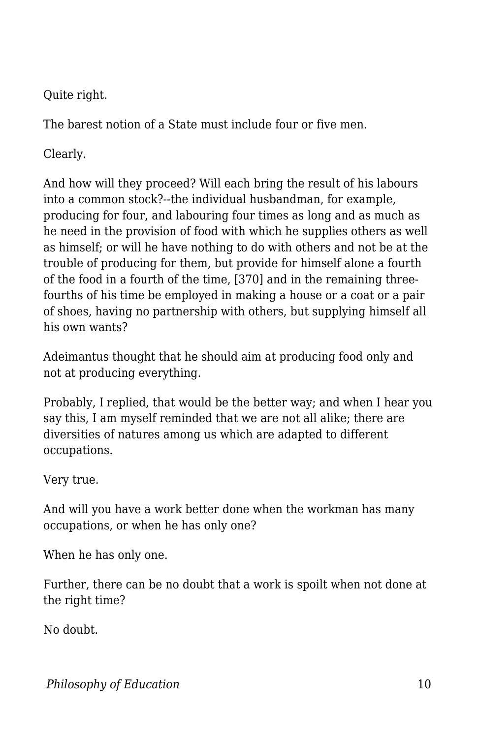Quite right.

The barest notion of a State must include four or five men.

Clearly.

And how will they proceed? Will each bring the result of his labours into a common stock?--the individual husbandman, for example, producing for four, and labouring four times as long and as much as he need in the provision of food with which he supplies others as well as himself; or will he have nothing to do with others and not be at the trouble of producing for them, but provide for himself alone a fourth of the food in a fourth of the time, [370] and in the remaining threefourths of his time be employed in making a house or a coat or a pair of shoes, having no partnership with others, but supplying himself all his own wants?

Adeimantus thought that he should aim at producing food only and not at producing everything.

Probably, I replied, that would be the better way; and when I hear you say this, I am myself reminded that we are not all alike; there are diversities of natures among us which are adapted to different occupations.

Very true.

And will you have a work better done when the workman has many occupations, or when he has only one?

When he has only one.

Further, there can be no doubt that a work is spoilt when not done at the right time?

No doubt.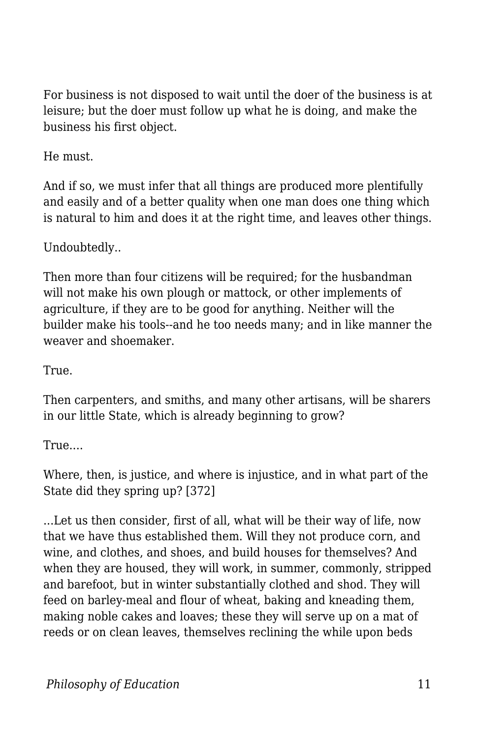For business is not disposed to wait until the doer of the business is at leisure; but the doer must follow up what he is doing, and make the business his first object.

He must.

And if so, we must infer that all things are produced more plentifully and easily and of a better quality when one man does one thing which is natural to him and does it at the right time, and leaves other things.

Undoubtedly..

Then more than four citizens will be required; for the husbandman will not make his own plough or mattock, or other implements of agriculture, if they are to be good for anything. Neither will the builder make his tools--and he too needs many; and in like manner the weaver and shoemaker.

True.

Then carpenters, and smiths, and many other artisans, will be sharers in our little State, which is already beginning to grow?

True....

Where, then, is justice, and where is injustice, and in what part of the State did they spring up? [372]

...Let us then consider, first of all, what will be their way of life, now that we have thus established them. Will they not produce corn, and wine, and clothes, and shoes, and build houses for themselves? And when they are housed, they will work, in summer, commonly, stripped and barefoot, but in winter substantially clothed and shod. They will feed on barley-meal and flour of wheat, baking and kneading them, making noble cakes and loaves; these they will serve up on a mat of reeds or on clean leaves, themselves reclining the while upon beds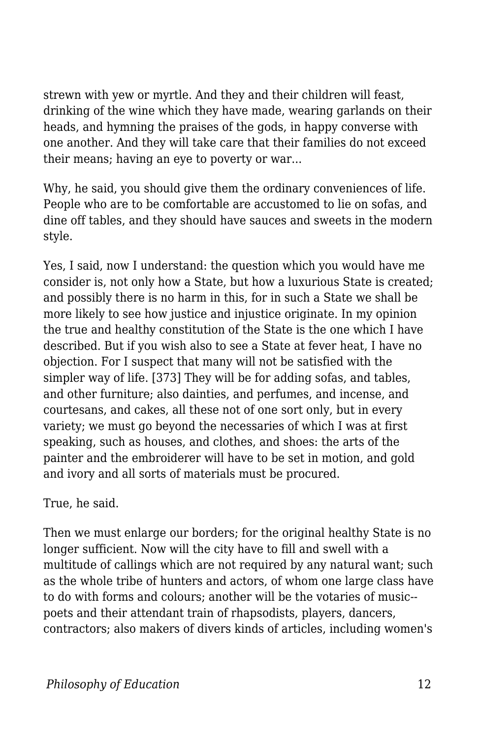strewn with yew or myrtle. And they and their children will feast, drinking of the wine which they have made, wearing garlands on their heads, and hymning the praises of the gods, in happy converse with one another. And they will take care that their families do not exceed their means; having an eye to poverty or war...

Why, he said, you should give them the ordinary conveniences of life. People who are to be comfortable are accustomed to lie on sofas, and dine off tables, and they should have sauces and sweets in the modern style.

Yes, I said, now I understand: the question which you would have me consider is, not only how a State, but how a luxurious State is created; and possibly there is no harm in this, for in such a State we shall be more likely to see how justice and injustice originate. In my opinion the true and healthy constitution of the State is the one which I have described. But if you wish also to see a State at fever heat, I have no objection. For I suspect that many will not be satisfied with the simpler way of life. [373] They will be for adding sofas, and tables, and other furniture; also dainties, and perfumes, and incense, and courtesans, and cakes, all these not of one sort only, but in every variety; we must go beyond the necessaries of which I was at first speaking, such as houses, and clothes, and shoes: the arts of the painter and the embroiderer will have to be set in motion, and gold and ivory and all sorts of materials must be procured.

True, he said.

Then we must enlarge our borders; for the original healthy State is no longer sufficient. Now will the city have to fill and swell with a multitude of callings which are not required by any natural want; such as the whole tribe of hunters and actors, of whom one large class have to do with forms and colours; another will be the votaries of music- poets and their attendant train of rhapsodists, players, dancers, contractors; also makers of divers kinds of articles, including women's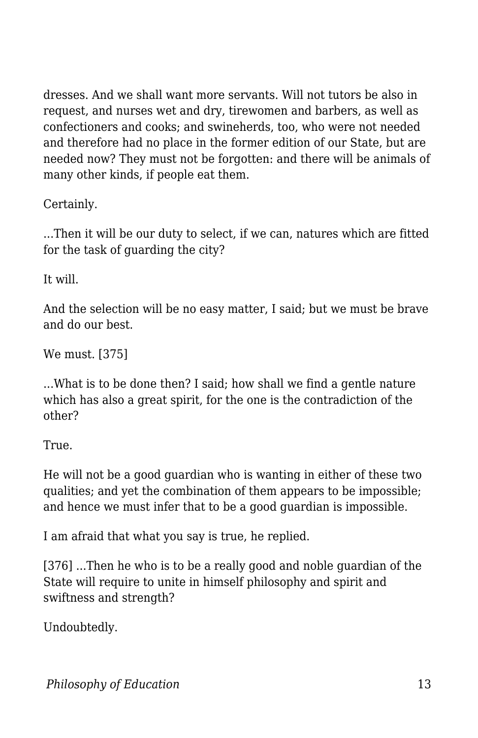dresses. And we shall want more servants. Will not tutors be also in request, and nurses wet and dry, tirewomen and barbers, as well as confectioners and cooks; and swineherds, too, who were not needed and therefore had no place in the former edition of our State, but are needed now? They must not be forgotten: and there will be animals of many other kinds, if people eat them.

Certainly.

...Then it will be our duty to select, if we can, natures which are fitted for the task of guarding the city?

It will.

And the selection will be no easy matter, I said; but we must be brave and do our best.

We must. [375]

...What is to be done then? I said; how shall we find a gentle nature which has also a great spirit, for the one is the contradiction of the other?

True.

He will not be a good guardian who is wanting in either of these two qualities; and yet the combination of them appears to be impossible; and hence we must infer that to be a good guardian is impossible.

I am afraid that what you say is true, he replied.

[376] ...Then he who is to be a really good and noble guardian of the State will require to unite in himself philosophy and spirit and swiftness and strength?

Undoubtedly.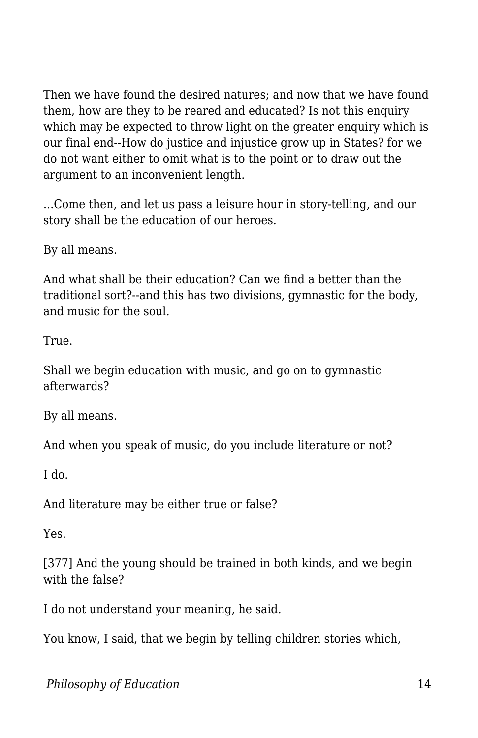Then we have found the desired natures; and now that we have found them, how are they to be reared and educated? Is not this enquiry which may be expected to throw light on the greater enquiry which is our final end--How do justice and injustice grow up in States? for we do not want either to omit what is to the point or to draw out the argument to an inconvenient length.

...Come then, and let us pass a leisure hour in story-telling, and our story shall be the education of our heroes.

By all means.

And what shall be their education? Can we find a better than the traditional sort?--and this has two divisions, gymnastic for the body, and music for the soul.

True.

Shall we begin education with music, and go on to gymnastic afterwards?

By all means.

And when you speak of music, do you include literature or not?

I do.

And literature may be either true or false?

Yes.

[377] And the young should be trained in both kinds, and we begin with the false?

I do not understand your meaning, he said.

You know, I said, that we begin by telling children stories which,

*Philosophy of Education* 14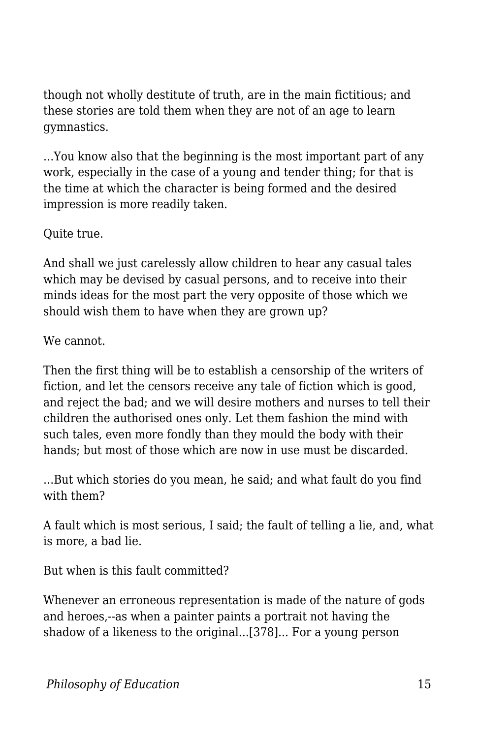though not wholly destitute of truth, are in the main fictitious; and these stories are told them when they are not of an age to learn gymnastics.

...You know also that the beginning is the most important part of any work, especially in the case of a young and tender thing; for that is the time at which the character is being formed and the desired impression is more readily taken.

Quite true.

And shall we just carelessly allow children to hear any casual tales which may be devised by casual persons, and to receive into their minds ideas for the most part the very opposite of those which we should wish them to have when they are grown up?

We cannot.

Then the first thing will be to establish a censorship of the writers of fiction, and let the censors receive any tale of fiction which is good, and reject the bad; and we will desire mothers and nurses to tell their children the authorised ones only. Let them fashion the mind with such tales, even more fondly than they mould the body with their hands; but most of those which are now in use must be discarded.

...But which stories do you mean, he said; and what fault do you find with them?

A fault which is most serious, I said; the fault of telling a lie, and, what is more, a bad lie.

But when is this fault committed?

Whenever an erroneous representation is made of the nature of gods and heroes,--as when a painter paints a portrait not having the shadow of a likeness to the original...[378]... For a young person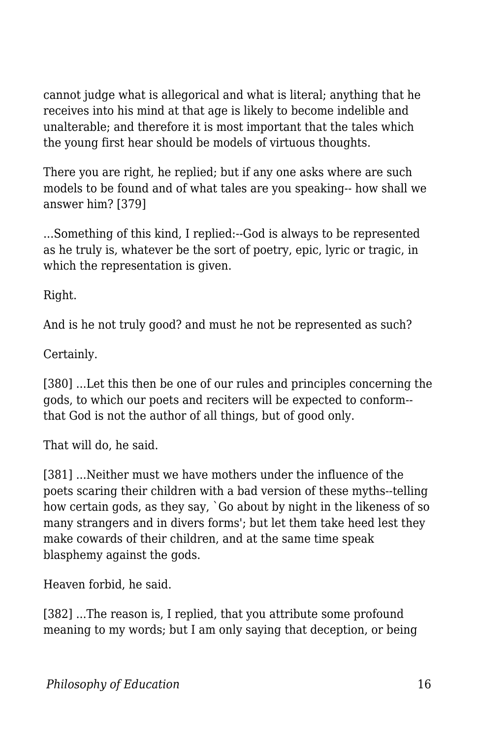cannot judge what is allegorical and what is literal; anything that he receives into his mind at that age is likely to become indelible and unalterable; and therefore it is most important that the tales which the young first hear should be models of virtuous thoughts.

There you are right, he replied; but if any one asks where are such models to be found and of what tales are you speaking-- how shall we answer him? [379]

...Something of this kind, I replied:--God is always to be represented as he truly is, whatever be the sort of poetry, epic, lyric or tragic, in which the representation is given.

Right.

And is he not truly good? and must he not be represented as such?

Certainly.

[380] ...Let this then be one of our rules and principles concerning the gods, to which our poets and reciters will be expected to conform- that God is not the author of all things, but of good only.

That will do, he said.

[381] ...Neither must we have mothers under the influence of the poets scaring their children with a bad version of these myths--telling how certain gods, as they say, `Go about by night in the likeness of so many strangers and in divers forms'; but let them take heed lest they make cowards of their children, and at the same time speak blasphemy against the gods.

Heaven forbid, he said.

[382] ...The reason is, I replied, that you attribute some profound meaning to my words; but I am only saying that deception, or being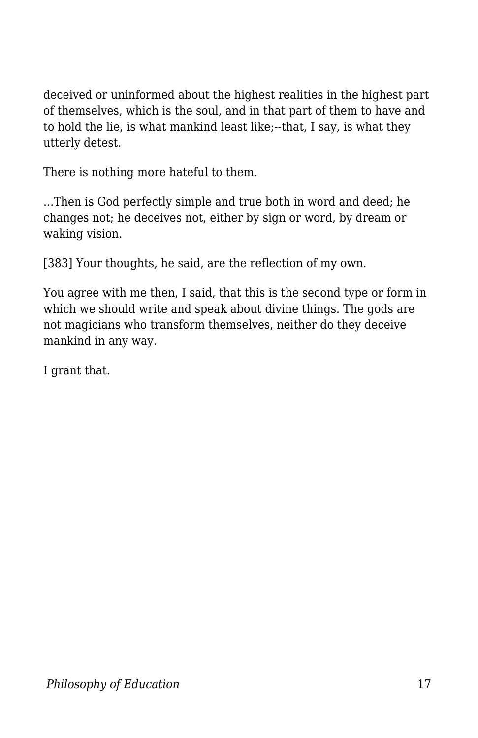deceived or uninformed about the highest realities in the highest part of themselves, which is the soul, and in that part of them to have and to hold the lie, is what mankind least like;--that, I say, is what they utterly detest.

There is nothing more hateful to them.

...Then is God perfectly simple and true both in word and deed; he changes not; he deceives not, either by sign or word, by dream or waking vision.

[383] Your thoughts, he said, are the reflection of my own.

You agree with me then, I said, that this is the second type or form in which we should write and speak about divine things. The gods are not magicians who transform themselves, neither do they deceive mankind in any way.

I grant that.